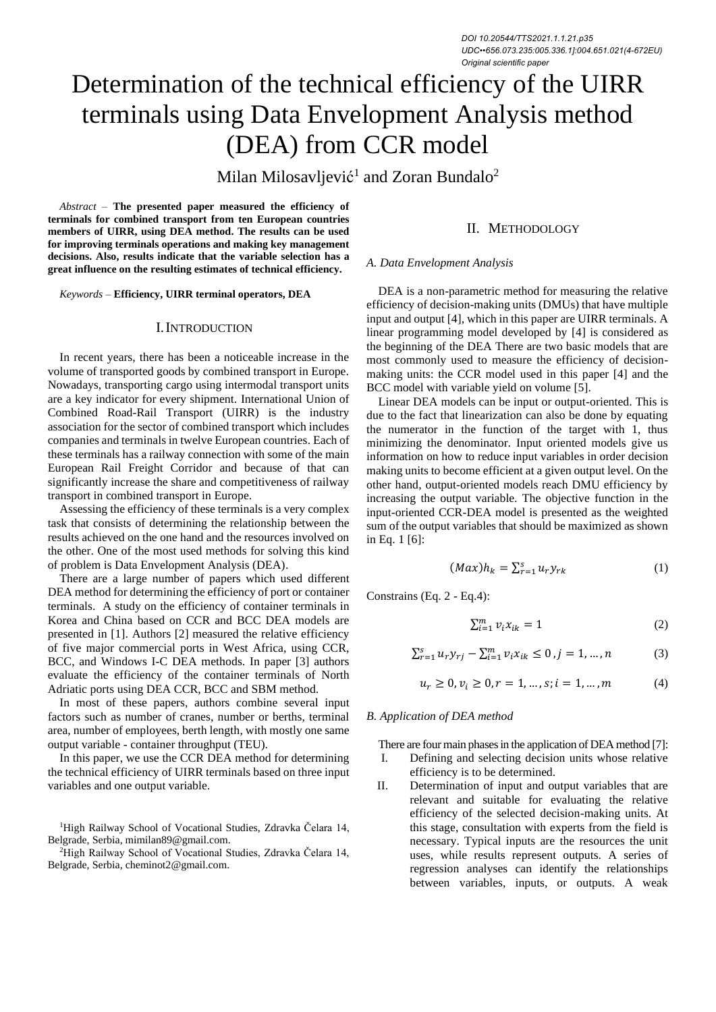# Determination of the technical efficiency of the UIRR terminals using Data Envelopment Analysis method (DEA) from CCR model

Milan Milosavljević<sup>1</sup> and Zoran Bundalo<sup>2</sup>

*Abstract –* **The presented paper measured the efficiency of terminals for combined transport from ten European countries members of UIRR, using DEA method. The results can be used for improving terminals operations and making key management decisions. Also, results indicate that the variable selection has a great influence on the resulting estimates of technical efficiency.**

*Keywords –* **Efficiency, UIRR terminal operators, DEA**

## I.INTRODUCTION

In recent years, there has been a noticeable increase in the volume of transported goods by combined transport in Europe. Nowadays, transporting cargo using intermodal transport units are a key indicator for every shipment. International Union of Combined Road-Rail Transport (UIRR) is the industry association for the sector of combined transport which includes companies and terminals in twelve European countries. Each of these terminals has a railway connection with some of the main European Rail Freight Corridor and because of that can significantly increase the share and competitiveness of railway transport in combined transport in Europe.

Assessing the efficiency of these terminals is a very complex task that consists of determining the relationship between the results achieved on the one hand and the resources involved on the other. One of the most used methods for solving this kind of problem is Data Envelopment Analysis (DEA).

There are a large number of papers which used different DEA method for determining the efficiency of port or container terminals. A study on the efficiency of container terminals in Korea and China based on CCR and BCC DEA models are presented in [1]. Authors [2] measured the relative efficiency of five major commercial ports in West Africa, using CCR, BCC, and Windows I-C DEA methods. In paper [3] authors evaluate the efficiency of the container terminals of North Adriatic ports using DEA CCR, BCC and SBM method.

In most of these papers, authors combine several input factors such as number of cranes, number or berths, terminal area, number of employees, berth length, with mostly one same output variable - container throughput (TEU).

In this paper, we use the CCR DEA method for determining the technical efficiency of UIRR terminals based on three input variables and one output variable.

<sup>1</sup>High Railway School of Vocational Studies, Zdravka Čelara 14, Belgrade, Serbia, mimilan89@gmail.com.

<sup>2</sup>High Railway School of Vocational Studies, Zdravka Čelara 14, Belgrade, Serbia, cheminot2@gmail.com.

## II. METHODOLOGY

#### *A. Data Envelopment Analysis*

DEA is a non-parametric method for measuring the relative efficiency of decision-making units (DMUs) that have multiple input and output [4], which in this paper are UIRR terminals. A linear programming model developed by [4] is considered as the beginning of the DEA There are two basic models that are most commonly used to measure the efficiency of decisionmaking units: the CCR model used in this paper [4] and the BCC model with variable yield on volume [5].

Linear DEA models can be input or output-oriented. This is due to the fact that linearization can also be done by equating the numerator in the function of the target with 1, thus minimizing the denominator. Input oriented models give us information on how to reduce input variables in order decision making units to become efficient at a given output level. On the other hand, output-oriented models reach DMU efficiency by increasing the output variable. The objective function in the input-oriented CCR-DEA model is presented as the weighted sum of the output variables that should be maximized as shown in Eq. 1 [6]:

$$
(Max)h_k = \sum_{r=1}^{S} u_r y_{rk}
$$
 (1)

Constrains (Eq. 2 - Eq.4):

$$
\sum_{i=1}^{m} \nu_i x_{ik} = 1 \tag{2}
$$

$$
\sum_{r=1}^{s} u_r y_{rj} - \sum_{i=1}^{m} v_i x_{ik} \le 0, j = 1, ..., n
$$
 (3)

$$
u_r \ge 0, v_i \ge 0, r = 1, ..., s; i = 1, ..., m
$$
 (4)

#### *B. Application of DEA method*

There are four main phases in the application of DEA method [7]: I. Defining and selecting decision units whose relative efficiency is to be determined.

II. Determination of input and output variables that are relevant and suitable for evaluating the relative efficiency of the selected decision-making units. At this stage, consultation with experts from the field is necessary. Typical inputs are the resources the unit uses, while results represent outputs. A series of regression analyses can identify the relationships between variables, inputs, or outputs. A weak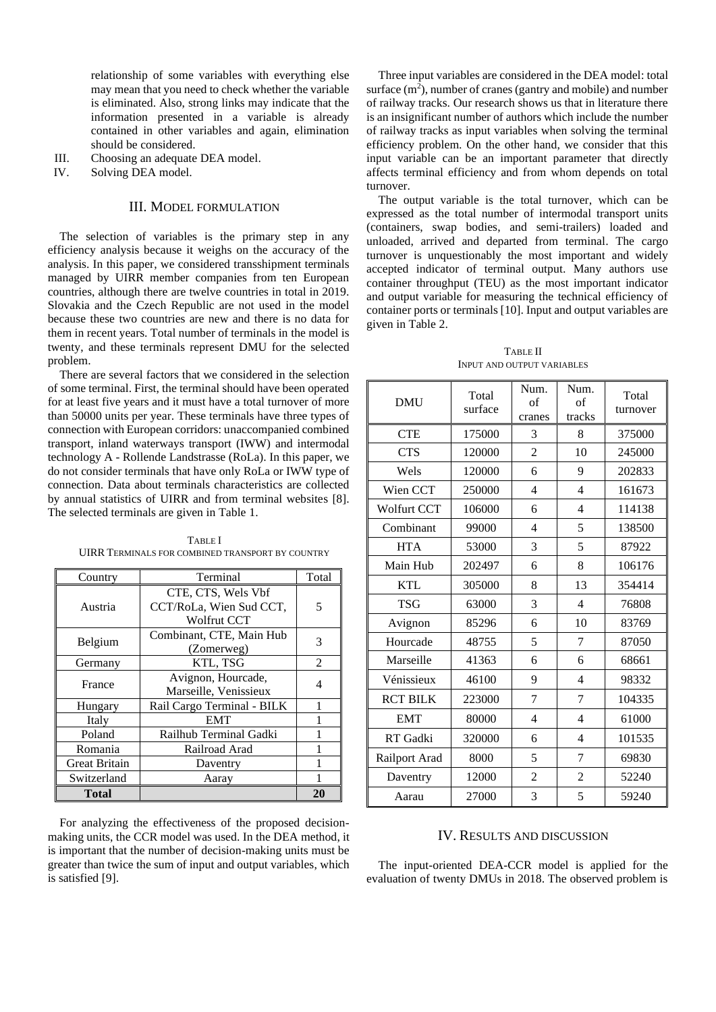relationship of some variables with everything else may mean that you need to check whether the variable is eliminated. Also, strong links may indicate that the information presented in a variable is already contained in other variables and again, elimination should be considered.

- III. Choosing an adequate DEA model.
- IV. Solving DEA model.

# III. MODEL FORMULATION

The selection of variables is the primary step in any efficiency analysis because it weighs on the accuracy of the analysis. In this paper, we considered transshipment terminals managed by UIRR member companies from ten European countries, although there are twelve countries in total in 2019. Slovakia and the Czech Republic are not used in the model because these two countries are new and there is no data for them in recent years. Total number of terminals in the model is twenty, and these terminals represent DMU for the selected problem.

There are several factors that we considered in the selection of some terminal. First, the terminal should have been operated for at least five years and it must have a total turnover of more than 50000 units per year. These terminals have three types of connection with European corridors: unaccompanied combined transport, inland waterways transport (IWW) and intermodal technology A - Rollende Landstrasse (RoLa). In this paper, we do not consider terminals that have only RoLa or IWW type of connection. Data about terminals characteristics are collected by annual statistics of UIRR and from terminal websites [8]. The selected terminals are given in Table 1.

| Country              | Terminal                   |                |  |
|----------------------|----------------------------|----------------|--|
|                      |                            |                |  |
|                      | CTE, CTS, Wels Vbf         |                |  |
| Austria              | CCT/RoLa, Wien Sud CCT,    | 5              |  |
|                      | Wolfrut CCT                |                |  |
| Belgium              | Combinant, CTE, Main Hub   | 3              |  |
|                      | (Zomerweg)                 |                |  |
| Germany              | KTL, TSG                   | $\mathfrak{D}$ |  |
| France               | Avignon, Hourcade,         | 4              |  |
|                      | Marseille, Venissieux      |                |  |
| Hungary              | Rail Cargo Terminal - BILK |                |  |
| Italy                | <b>EMT</b>                 |                |  |
| Poland               | Railhub Terminal Gadki     |                |  |
| Romania              | Railroad Arad              |                |  |
| <b>Great Britain</b> | Daventry                   |                |  |
| Switzerland          | Aaray                      |                |  |
| Total                |                            | 20             |  |

TABLE I UIRR TERMINALS FOR COMBINED TRANSPORT BY COUNTRY

For analyzing the effectiveness of the proposed decisionmaking units, the CCR model was used. In the DEA method, it is important that the number of decision-making units must be greater than twice the sum of input and output variables, which is satisfied [9].

Three input variables are considered in the DEA model: total surface  $(m<sup>2</sup>)$ , number of cranes (gantry and mobile) and number of railway tracks. Our research shows us that in literature there is an insignificant number of authors which include the number of railway tracks as input variables when solving the terminal efficiency problem. On the other hand, we consider that this input variable can be an important parameter that directly affects terminal efficiency and from whom depends on total turnover.

The output variable is the total turnover, which can be expressed as the total number of intermodal transport units (containers, swap bodies, and semi-trailers) loaded and unloaded, arrived and departed from terminal. The cargo turnover is unquestionably the most important and widely accepted indicator of terminal output. Many authors use container throughput (TEU) as the most important indicator and output variable for measuring the technical efficiency of container ports or terminals [10]. Input and output variables are given in Table 2.

TABLE II INPUT AND OUTPUT VARIABLES

| <b>DMU</b>         | Total<br>surface | Num.<br>of<br>cranes | Num.<br>of<br>tracks | Total<br>turnover |
|--------------------|------------------|----------------------|----------------------|-------------------|
| <b>CTE</b>         | 175000           | 3                    | 8                    | 375000            |
| <b>CTS</b>         | 120000           | $\overline{2}$       | 10                   | 245000            |
| Wels               | 120000           | 6                    | 9                    | 202833            |
| Wien CCT           | 250000           | $\overline{4}$       | $\overline{4}$       | 161673            |
| <b>Wolfurt CCT</b> | 106000           | 6                    | $\overline{4}$       | 114138            |
| Combinant          | 99000            | $\overline{4}$       | 5                    | 138500            |
| <b>HTA</b>         | 53000            | 3                    | 5                    | 87922             |
| Main Hub           | 202497           | 6                    | 8                    | 106176            |
| <b>KTL</b>         | 305000           | 8                    | 13                   | 354414            |
| <b>TSG</b>         | 63000            | 3                    | $\overline{4}$       | 76808             |
| Avignon            | 85296            | 6                    | 10                   | 83769             |
| Hourcade           | 48755            | 5                    | 7                    | 87050             |
| Marseille          | 41363            | 6                    | 6                    | 68661             |
| Vénissieux         | 46100            | 9                    | $\overline{4}$       | 98332             |
| <b>RCT BILK</b>    | 223000           | 7                    | 7                    | 104335            |
| <b>EMT</b>         | 80000            | 4                    | 4                    | 61000             |
| RT Gadki           | 320000           | 6                    | $\overline{4}$       | 101535            |
| Railport Arad      | 8000             | 5                    | 7                    | 69830             |
| Daventry           | 12000            | $\overline{c}$       | $\overline{2}$       | 52240             |
| Aarau              | 27000            | 3                    | 5                    | 59240             |

## IV. RESULTS AND DISCUSSION

The input-oriented DEA-CCR model is applied for the evaluation of twenty DMUs in 2018. The observed problem is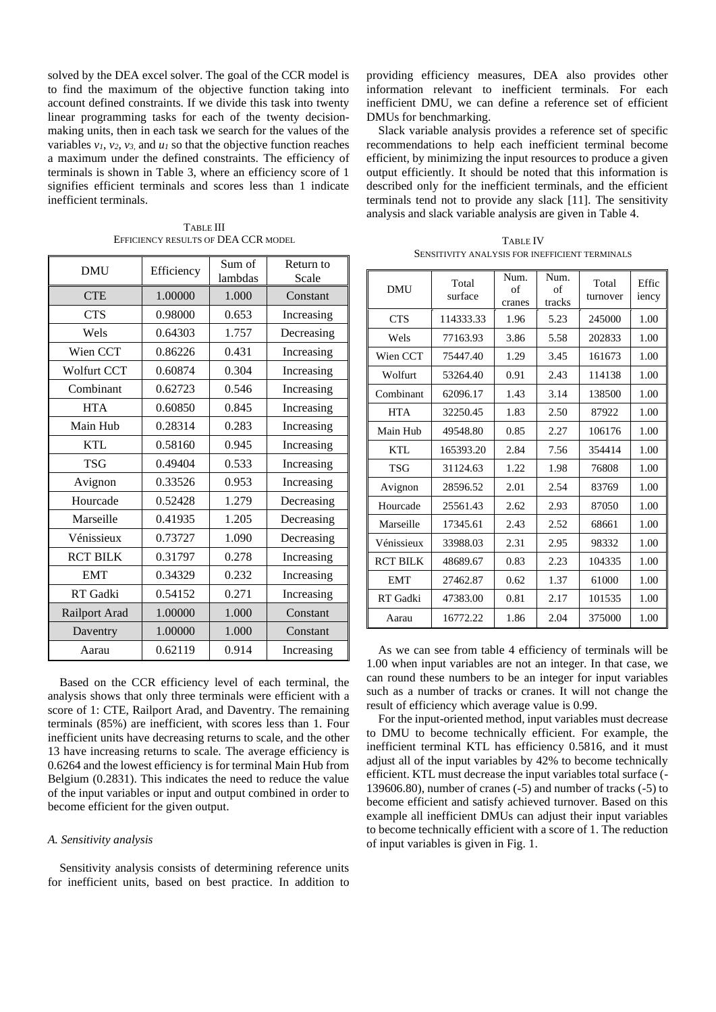solved by the DEA excel solver. The goal of the CCR model is to find the maximum of the objective function taking into account defined constraints. If we divide this task into twenty linear programming tasks for each of the twenty decisionmaking units, then in each task we search for the values of the variables  $v_1$ ,  $v_2$ ,  $v_3$  and  $u_1$  so that the objective function reaches a maximum under the defined constraints. The efficiency of terminals is shown in Table 3, where an efficiency score of 1 signifies efficient terminals and scores less than 1 indicate inefficient terminals.

| <b>DMU</b>         | Efficiency | Sum of<br>lambdas | Return to<br>Scale |  |
|--------------------|------------|-------------------|--------------------|--|
| <b>CTE</b>         | 1.00000    | 1.000             | Constant           |  |
| <b>CTS</b>         | 0.98000    | 0.653             | Increasing         |  |
| Wels               | 0.64303    | 1.757             | Decreasing         |  |
| Wien CCT           | 0.86226    | 0.431             | Increasing         |  |
| <b>Wolfurt CCT</b> | 0.60874    | 0.304             | Increasing         |  |
| Combinant          | 0.62723    | 0.546             | Increasing         |  |
| <b>HTA</b>         | 0.60850    | 0.845             | Increasing         |  |
| Main Hub           | 0.28314    | 0.283             | Increasing         |  |
| <b>KTL</b>         | 0.58160    | 0.945             | Increasing         |  |
| <b>TSG</b>         | 0.49404    | 0.533             | Increasing         |  |
| Avignon            | 0.33526    | 0.953             | Increasing         |  |
| Hourcade           | 0.52428    | 1.279             | Decreasing         |  |
| Marseille          | 0.41935    | 1.205             | Decreasing         |  |
| Vénissieux         | 0.73727    | 1.090             | Decreasing         |  |
| <b>RCT BILK</b>    | 0.31797    | 0.278             | Increasing         |  |
| <b>EMT</b>         | 0.34329    | 0.232             | Increasing         |  |
| RT Gadki           | 0.54152    | 0.271             | Increasing         |  |
| Railport Arad      | 1.00000    | 1.000             | Constant           |  |
| Daventry           | 1.00000    | 1.000             | Constant           |  |
| Aarau              | 0.62119    | 0.914             | Increasing         |  |

TABLE III EFFICIENCY RESULTS OF DEA CCR MODEL

Based on the CCR efficiency level of each terminal, the analysis shows that only three terminals were efficient with a score of 1: CTE, Railport Arad, and Daventry. The remaining terminals (85%) are inefficient, with scores less than 1. Four inefficient units have decreasing returns to scale, and the other 13 have increasing returns to scale. The average efficiency is 0.6264 and the lowest efficiency is for terminal Main Hub from Belgium (0.2831). This indicates the need to reduce the value of the input variables or input and output combined in order to become efficient for the given output.

## *A. Sensitivity analysis*

Sensitivity analysis consists of determining reference units for inefficient units, based on best practice. In addition to

providing efficiency measures, DEA also provides other information relevant to inefficient terminals. For each inefficient DMU, we can define a reference set of efficient DMUs for benchmarking.

Slack variable analysis provides a reference set of specific recommendations to help each inefficient terminal become efficient, by minimizing the input resources to produce a given output efficiently. It should be noted that this information is described only for the inefficient terminals, and the efficient terminals tend not to provide any slack [11]. The sensitivity analysis and slack variable analysis are given in Table 4.

| <b>TABLE IV</b>                                       |
|-------------------------------------------------------|
| <b>SENSITIVITY ANALYSIS FOR INEFFICIENT TERMINALS</b> |

| DMU             | Total<br>surface | Num.<br>of<br>cranes | Num.<br>of<br>tracks | Total<br>turnover | Effic<br>iency |
|-----------------|------------------|----------------------|----------------------|-------------------|----------------|
| <b>CTS</b>      | 114333.33        | 1.96                 | 5.23                 | 245000            | 1.00           |
| Wels            | 77163.93         | 3.86                 | 5.58                 | 202833            | 1.00           |
| Wien CCT        | 75447.40         | 1.29                 | 3.45                 | 161673            | 1.00           |
| Wolfurt         | 53264.40         | 0.91                 | 2.43                 | 114138            | 1.00           |
| Combinant       | 62096.17         | 1.43                 | 3.14                 | 138500            | 1.00           |
| <b>HTA</b>      | 32250.45         | 1.83                 | 2.50                 | 87922             | 1.00           |
| Main Hub        | 49548.80         | 0.85                 | 2.27                 | 106176            | 1.00           |
| <b>KTL</b>      | 165393.20        | 2.84                 | 7.56                 | 354414            | 1.00           |
| <b>TSG</b>      | 31124.63         | 1.22                 | 1.98                 | 76808             | 1.00           |
| Avignon         | 28596.52         | 2.01                 | 2.54                 | 83769             | 1.00           |
| Hourcade        | 25561.43         | 2.62                 | 2.93                 | 87050             | 1.00           |
| Marseille       | 17345.61         | 2.43                 | 2.52                 | 68661             | 1.00           |
| Vénissieux      | 33988.03         | 2.31                 | 2.95                 | 98332             | 1.00           |
| <b>RCT BILK</b> | 48689.67         | 0.83                 | 2.23                 | 104335            | 1.00           |
| <b>EMT</b>      | 27462.87         | 0.62                 | 1.37                 | 61000             | 1.00           |
| RT Gadki        | 47383.00         | 0.81                 | 2.17                 | 101535            | 1.00           |
| Aarau           | 16772.22         | 1.86                 | 2.04                 | 375000            | 1.00           |

As we can see from table 4 efficiency of terminals will be 1.00 when input variables are not an integer. In that case, we can round these numbers to be an integer for input variables such as a number of tracks or cranes. It will not change the result of efficiency which average value is 0.99.

For the input-oriented method, input variables must decrease to DMU to become technically efficient. For example, the inefficient terminal KTL has efficiency 0.5816, and it must adjust all of the input variables by 42% to become technically efficient. KTL must decrease the input variables total surface (- 139606.80), number of cranes (-5) and number of tracks (-5) to become efficient and satisfy achieved turnover. Based on this example all inefficient DMUs can adjust their input variables to become technically efficient with a score of 1. The reduction of input variables is given in Fig. 1.